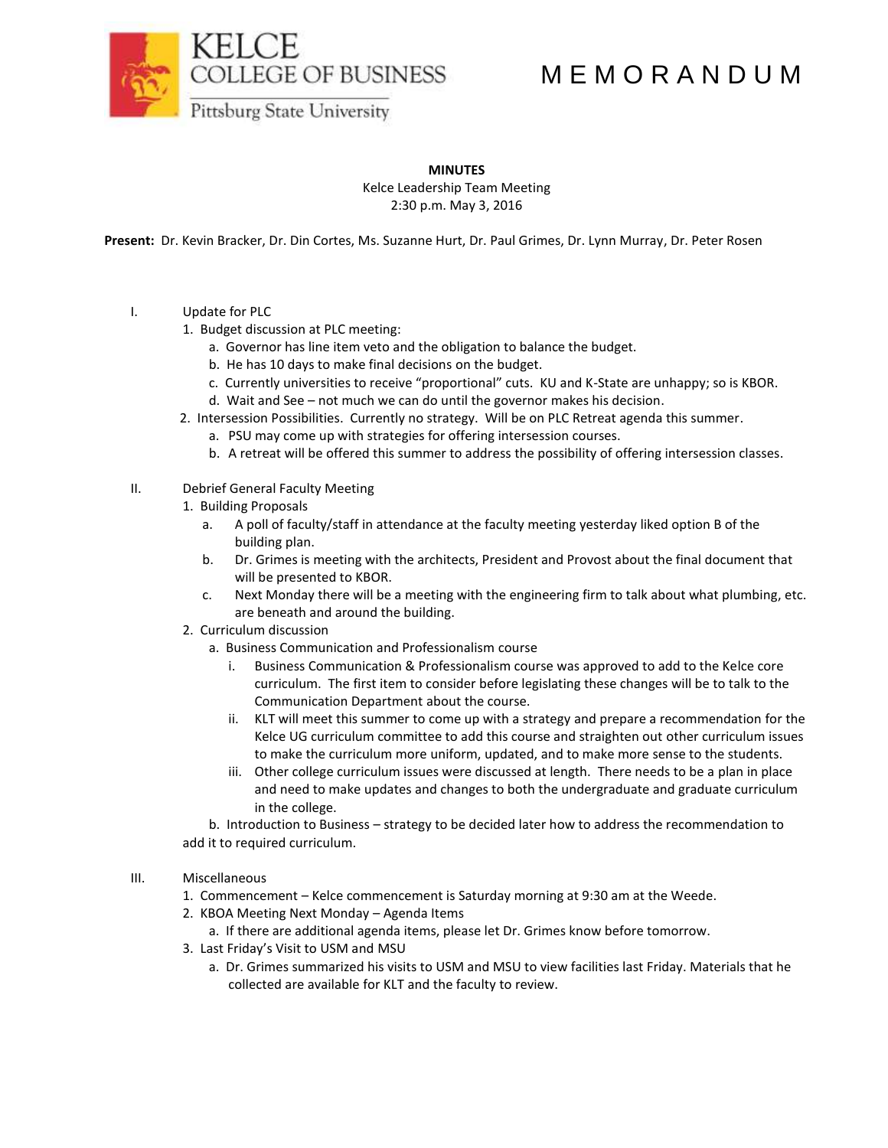COLLEGE OF BUSINESS

## M E M O R A N D U M

**Pittsburg State University** 

**MINUTES**

Kelce Leadership Team Meeting 2:30 p.m. May 3, 2016

**Present:** Dr. Kevin Bracker, Dr. Din Cortes, Ms. Suzanne Hurt, Dr. Paul Grimes, Dr. Lynn Murray, Dr. Peter Rosen

- I. Update for PLC
	- 1. Budget discussion at PLC meeting:
		- a. Governor has line item veto and the obligation to balance the budget.
		- b. He has 10 days to make final decisions on the budget.
		- c. Currently universities to receive "proportional" cuts. KU and K-State are unhappy; so is KBOR.
		- d. Wait and See not much we can do until the governor makes his decision.
	- 2. Intersession Possibilities. Currently no strategy. Will be on PLC Retreat agenda this summer.
		- a. PSU may come up with strategies for offering intersession courses.
		- b. A retreat will be offered this summer to address the possibility of offering intersession classes.

## II. Debrief General Faculty Meeting

- 1. Building Proposals
	- a. A poll of faculty/staff in attendance at the faculty meeting yesterday liked option B of the building plan.
	- b. Dr. Grimes is meeting with the architects, President and Provost about the final document that will be presented to KBOR.
	- c. Next Monday there will be a meeting with the engineering firm to talk about what plumbing, etc. are beneath and around the building.
- 2. Curriculum discussion
	- a. Business Communication and Professionalism course
		- i. Business Communication & Professionalism course was approved to add to the Kelce core curriculum. The first item to consider before legislating these changes will be to talk to the Communication Department about the course.
		- ii. KLT will meet this summer to come up with a strategy and prepare a recommendation for the Kelce UG curriculum committee to add this course and straighten out other curriculum issues to make the curriculum more uniform, updated, and to make more sense to the students.
		- iii. Other college curriculum issues were discussed at length. There needs to be a plan in place and need to make updates and changes to both the undergraduate and graduate curriculum in the college.

b. Introduction to Business – strategy to be decided later how to address the recommendation to add it to required curriculum.

## III. Miscellaneous

- 1. Commencement Kelce commencement is Saturday morning at 9:30 am at the Weede.
- 2. KBOA Meeting Next Monday Agenda Items
- a. If there are additional agenda items, please let Dr. Grimes know before tomorrow.
- 3. Last Friday's Visit to USM and MSU
	- a. Dr. Grimes summarized his visits to USM and MSU to view facilities last Friday. Materials that he collected are available for KLT and the faculty to review.